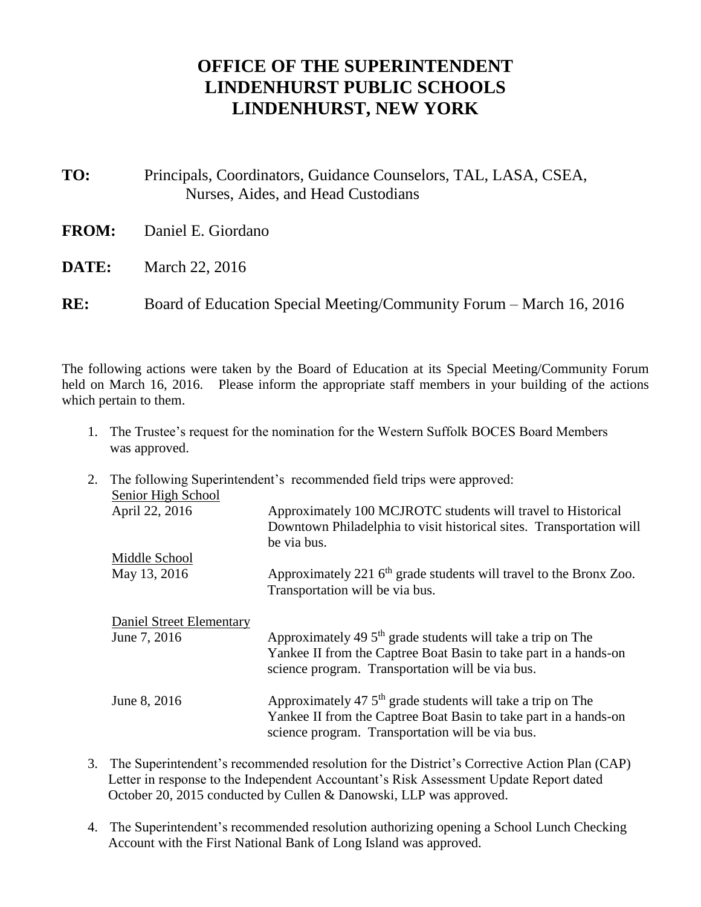## **OFFICE OF THE SUPERINTENDENT LINDENHURST PUBLIC SCHOOLS LINDENHURST, NEW YORK**

- **TO:** Principals, Coordinators, Guidance Counselors, TAL, LASA, CSEA, Nurses, Aides, and Head Custodians
- **FROM:** Daniel E. Giordano
- **DATE:** March 22, 2016

**RE:** Board of Education Special Meeting/Community Forum – March 16, 2016

The following actions were taken by the Board of Education at its Special Meeting/Community Forum held on March 16, 2016. Please inform the appropriate staff members in your building of the actions which pertain to them.

- 1. The Trustee's request for the nomination for the Western Suffolk BOCES Board Members was approved.
- 2. The following Superintendent's recommended field trips were approved: Senior High School April 22, 2016 Approximately 100 MCJROTC students will travel to Historical Downtown Philadelphia to visit historical sites. Transportation will be via bus. Middle School May 13, 2016 Approximately 221  $6<sup>th</sup>$  grade students will travel to the Bronx Zoo. Transportation will be via bus. Daniel Street Elementary June 7, 2016 Approximately 49  $5<sup>th</sup>$  grade students will take a trip on The Yankee II from the Captree Boat Basin to take part in a hands-on science program. Transportation will be via bus. June 8, 2016 Approximately 47  $5<sup>th</sup>$  grade students will take a trip on The Yankee II from the Captree Boat Basin to take part in a hands-on science program. Transportation will be via bus.
- 3. The Superintendent's recommended resolution for the District's Corrective Action Plan (CAP) Letter in response to the Independent Accountant's Risk Assessment Update Report dated October 20, 2015 conducted by Cullen & Danowski, LLP was approved.
- 4. The Superintendent's recommended resolution authorizing opening a School Lunch Checking Account with the First National Bank of Long Island was approved.